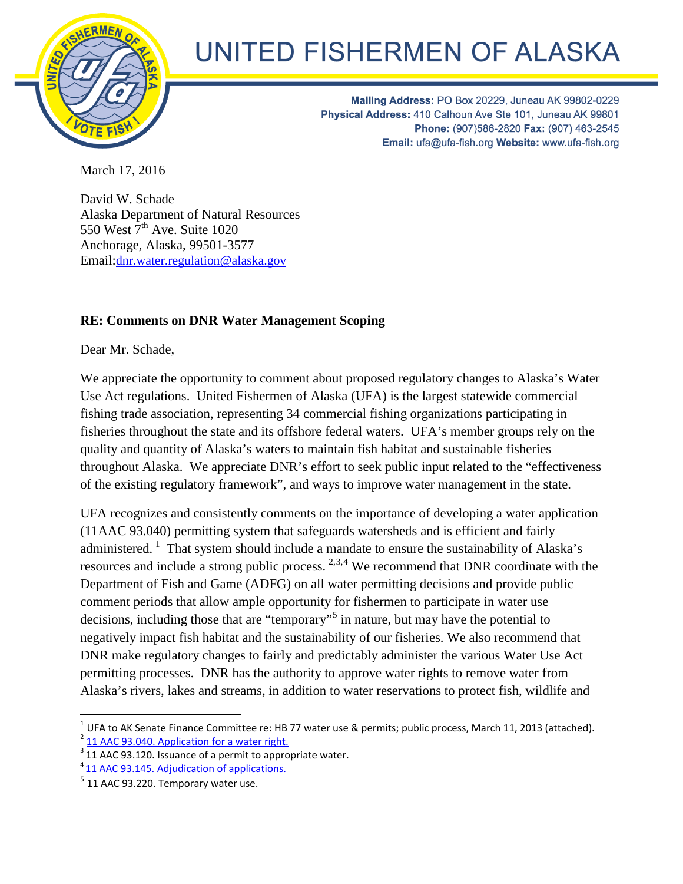

## UNITED FISHERMEN OF ALASKA

Mailing Address: PO Box 20229, Juneau AK 99802-0229 Physical Address: 410 Calhoun Ave Ste 101, Juneau AK 99801 Phone: (907)586-2820 Fax: (907) 463-2545 Email: ufa@ufa-fish.org Website: www.ufa-fish.org

March 17, 2016

David W. Schade Alaska Department of Natural Resources 550 West  $7<sup>th</sup>$  Ave. Suite 1020 Anchorage, Alaska, 99501-3577 Email:dnr.water.regulation@alaska.gov

## **RE: Comments on DNR Water Management Scoping**

Dear Mr. Schade,

We appreciate the opportunity to comment about proposed regulatory changes to Alaska's Water Use Act regulations. United Fishermen of Alaska (UFA) is the largest statewide commercial fishing trade association, representing 34 commercial fishing organizations participating in fisheries throughout the state and its offshore federal waters. UFA's member groups rely on the quality and quantity of Alaska's waters to maintain fish habitat and sustainable fisheries throughout Alaska. We appreciate DNR's effort to seek public input related to the "effectiveness of the existing regulatory framework", and ways to improve water management in the state.

<span id="page-0-5"></span>UFA recognizes and consistently comments on the importance of developing a water application (11AAC 93.0[4](#page-0-0)0) permitting system that safeguards watersheds and is efficient and fairly ad[m](#page-0-1)inistered.<sup>1</sup> Th[a](#page-0-2)t system should i[n](#page-0-3)clude a mandate to ensure the sustainability of Alaska's resources and include a strong public process.  $2,3,4$  We recommend that DNR coordinate with the Department of Fish and Game (ADFG) on all water permitting decisions and provide public comment periods that allow ample opportunity [f](#page-0-4)or fishermen to participate in water use decisions, including those that are "temporary"<sup>5</sup> in nature, but may have the potential to negatively impact fish habitat and the sustainability of our fisheries. We also recommend that DNR make regulatory changes to fairly and predictably administer the various Water Use Act permitting processes. DNR has the authority to approve water rights to remove water from Alaska's rivers, lakes and streams, in addition to water reservations to protect fish, wildlife and

<span id="page-0-0"></span>l <sup>1</sup> UFA to AK Senate Finance Committee re: HB 77 water use & permits; public process, March 11, 2013 (attached).<br><sup>2</sup> 11 AAC 93.040. Application for a water right.

<span id="page-0-1"></span>

<span id="page-0-2"></span> $3$  [11 AAC 93.120. Issuance of a permit to appropriate water.](http://www.akleg.gov/basis/aac.asp#11.93.120)  $4$  11 AAC 93.145. Adjudication of applications.

<span id="page-0-4"></span><span id="page-0-3"></span> $<sup>5</sup>$  11 AAC 93.220. Temporary water use.</sup>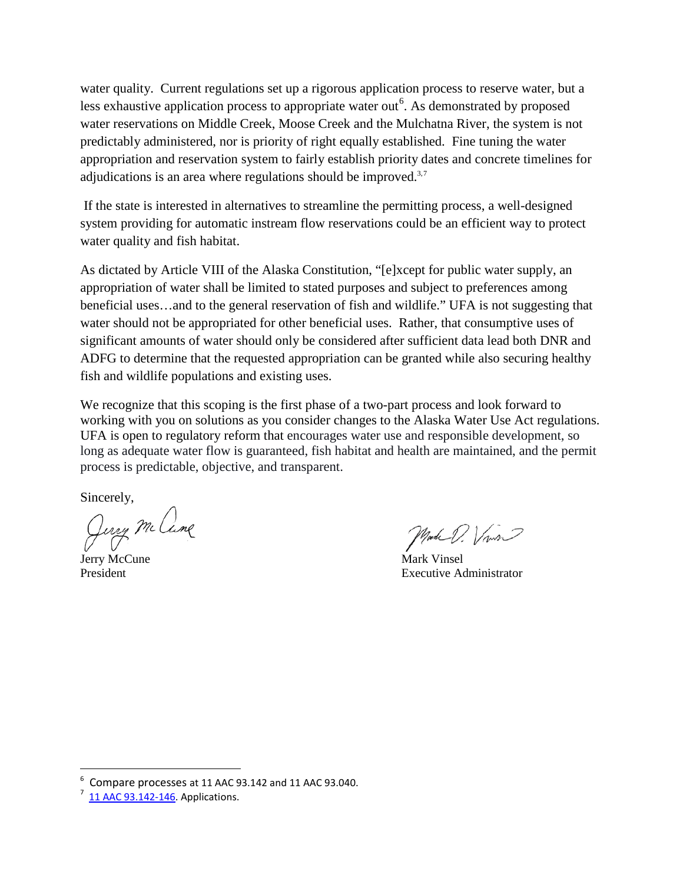water quality. Current regulations set up a rigorous applica[ti](#page-1-0)on process to reserve water, but a less exhaustive application process to appropriate water out<sup>6</sup>. As demonstrated by proposed adjudications is an area where regulations should be improved. $3,7$ water reservations on Middle Creek, Moose Creek and the Mulchatna River, the system is not predictably administered, nor is priority of right equally established. Fine tuning the water appropriation and reservation system to fairly establish priorit[y d](#page-0-5)ates and concrete timelines for

If the state is interested in alternatives to streamline the permitting process, a well-designed system providing for automatic instream flow reservations could be an efficient way to protect water quality and fish habitat.

As dictated by Article VIII of the Alaska Constitution, "[e]xcept for public water supply, an appropriation of water shall be limited to stated purposes and subject to preferences among beneficial uses…and to the general reservation of fish and wildlife." UFA is not suggesting that water should not be appropriated for other beneficial uses. Rather, that consumptive uses of significant amounts of water should only be considered after sufficient data lead both DNR and ADFG to determine that the requested appropriation can be granted while also securing healthy fish and wildlife populations and existing uses.

We recognize that this scoping is the first phase of a two-part process and look forward to working with you on solutions as you consider changes to the Alaska Water Use Act regulations. UFA is open to regulatory reform that encourages water use and responsible development, so long as adequate water flow is guaranteed, fish habitat and health are maintained, and the permit process is predictable, objective, and transparent.

Sincerely,

Jury McCune Jerry McCune Mark Vinsel

President **Executive Administrator** Executive Administrator

<span id="page-1-0"></span>**EXECUTE 20 THE REPORT OF STAR COMPARE PROCESSES a[t 11 AAC 93.142](http://www.akleg.gov/basis/aac.asp#11.93.142) an[d 11 AAC 93.040.](http://www.akleg.gov/basis/aac.asp#11.93.040)** 

<span id="page-1-1"></span> $\frac{7}{11}$  AAC 93.142-146. Applications.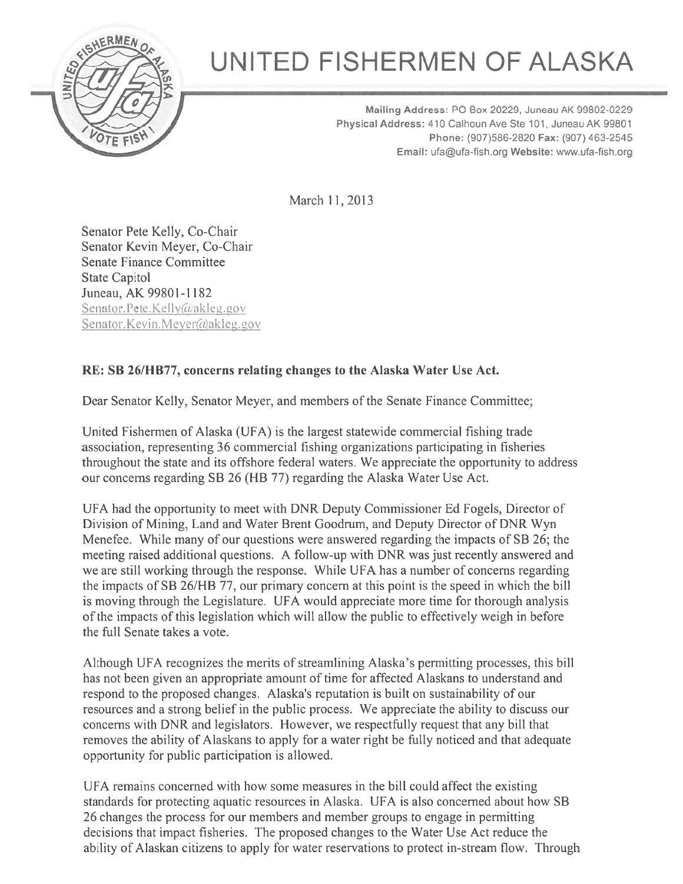

## UNITED FISHERMEN OF ALASKA

Mailing Address: P0 Box 20229, Juneau AK 99802-0229 Physical Address: 410 Calhoun Ave Ste 101, Juneau AK 99801 Phone: (907)586-2820 Fax: (907) 463-2545 Email: ufa@ufa-fish org Website: www.ufa-fish.org

March 11,2013

Senator Pete Kelly, Co-Chair Senator Kevin Meyer, Co-Chair Senate Finance Committee State Capitol Juneau, AK 99801-1182 Senator. Pete. Kelly@akleg.gov Senator. Kevin. Meyer @akleg.gov

## RE: SB 261HB77, concerns relating changes to the Alaska Water Use Act.

Dear Senator Kelly, Senator Meyer, and members of the Senate Finance Committee;

United Fishermen of Alaska (UFA) is the largest statewide commercial fishing trade association, representing 36 commercial fishing organizations participating in fisheries throughout the state and its offshore federal waters. We appreciate the opportunity to address our concerns regarding SB 26 (HB 77) regarding the Alaska Water Use Act.

UFA had the opportunity to meet with DNR Deputy Commissioner Ed Fogels, Director of Division of Mining, Land and Water Brent Goodrum, and Deputy Director of DNR Wyn Menefee. While many of our questions were answered regarding the impacts of SB 26; the meeting raised additional questions. A follow-up with DNR was just recently answered and we are still working through the response. While UFA has <sup>a</sup> number of concerns regarding the impacts of SB 26/HB 77, our primary concern at this point is the speed in which the bill is moving through the Legislature. UFA would appreciate more time for thorough analysis of the impacts of this legislation which will allow the public to effectively weigh in before the full Senate takes <sup>a</sup> vote.

Although UFA recognizes the merits of streamlining Alaska's permitting processes, this bill has not been given an appropriate amount of time for affected Alaskans to understand and respond to the proposed changes. Alaska's reputation is built on sustainability of our resources and <sup>a</sup> strong belief in the public process. We appreciate the ability to discuss our concerns with DNR and legislators. However, we respectfully reques<sup>t</sup> that any bill that removes the ability of Alaskans to apply for <sup>a</sup> water right be fully noticed and that adequate opportunity for public participation is allowed.

UFA remains concerned with how some measures in the bill could affect the existing standards for protecting aquatic resources in Alaska. UFA is also concerned about how SB 26 changes the process for our members and member groups to engage in permitting decisions that impact fisheries. The proposed changes to the Water Use Act reduce the ability of Alaskan citizens to apply for water reservations to protect in-stream flow. Through